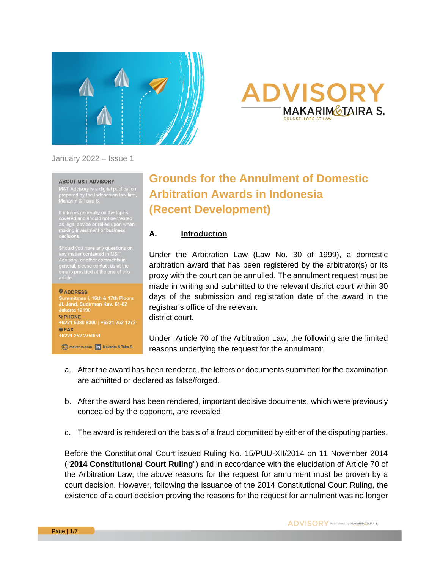

# **DVISOR MAKARIMGTAIRA S.**

#### January 2022 – Issue 1

#### **ABOUT M&T ADVISORY**

M&T Advisory is a digital publication<br>prepared by the Indonesian law firm,<br>Makarim & Taira S.

It informs generally on the topics<br>
covered and should not be treated<br>
as legal advice or relied upon when<br>
making investment or business<br>
decisions.

Should you have any questions on<br>⋯⋯⋯⋯™ any matter contained in M&T<br>Advisory, or other comments in<br>general, please contact us at the general, please contact us at the<br>emails provided at the end of this

#### **WADDRESS**

Jl. Jend. Sudirman Kav. 61-62 lakarta 12190 *SPHONE* +6221 5080 8300 | +6221 252 1272  $BFAX$ +6221 252 2750/51

makarim.com **in** Makarim & Taira S.

## **Grounds for the Annulment of Domestic Arbitration Awards in Indonesia (Recent Development)**

#### **A. Introduction**

Under the Arbitration Law (Law No. 30 of 1999), a domestic arbitration award that has been registered by the arbitrator(s) or its proxy with the court can be annulled. The annulment request must be made in writing and submitted to the relevant district court within 30 days of the submission and registration date of the award in the registrar's office of the relevant district court.

Under Article 70 of the Arbitration Law, the following are the limited reasons underlying the request for the annulment:

- a. After the award has been rendered, the letters or documents submitted for the examination are admitted or declared as false/forged.
- b. After the award has been rendered, important decisive documents, which were previously concealed by the opponent, are revealed.
- c. The award is rendered on the basis of a fraud committed by either of the disputing parties.

Before the Constitutional Court issued Ruling No. 15/PUU-XII/2014 on 11 November 2014 ("**2014 Constitutional Court Ruling**") and in accordance with the elucidation of Article 70 of the Arbitration Law, the above reasons for the request for annulment must be proven by a court decision. However, following the issuance of the 2014 Constitutional Court Ruling, the existence of a court decision proving the reasons for the request for annulment was no longer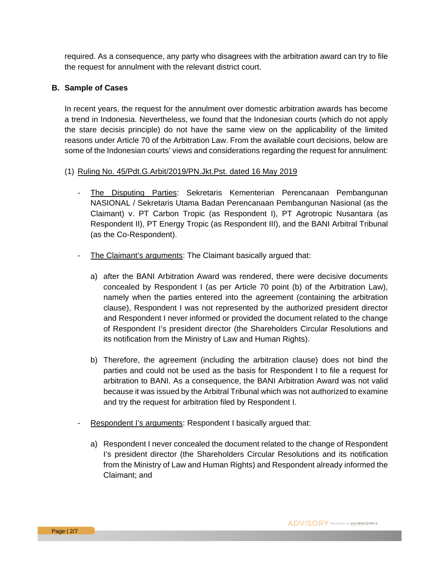required. As a consequence, any party who disagrees with the arbitration award can try to file the request for annulment with the relevant district court.

#### **B. Sample of Cases**

In recent years, the request for the annulment over domestic arbitration awards has become a trend in Indonesia. Nevertheless, we found that the Indonesian courts (which do not apply the stare decisis principle) do not have the same view on the applicability of the limited reasons under Article 70 of the Arbitration Law. From the available court decisions, below are some of the Indonesian courts' views and considerations regarding the request for annulment:

#### (1) Ruling No. 45/Pdt.G.Arbit/2019/PN.Jkt.Pst. dated 16 May 2019

- The Disputing Parties: Sekretaris Kementerian Perencanaan Pembangunan NASIONAL / Sekretaris Utama Badan Perencanaan Pembangunan Nasional (as the Claimant) v. PT Carbon Tropic (as Respondent I), PT Agrotropic Nusantara (as Respondent II), PT Energy Tropic (as Respondent III), and the BANI Arbitral Tribunal (as the Co-Respondent).
- The Claimant's arguments: The Claimant basically argued that:
	- a) after the BANI Arbitration Award was rendered, there were decisive documents concealed by Respondent I (as per Article 70 point (b) of the Arbitration Law), namely when the parties entered into the agreement (containing the arbitration clause), Respondent I was not represented by the authorized president director and Respondent I never informed or provided the document related to the change of Respondent I's president director (the Shareholders Circular Resolutions and its notification from the Ministry of Law and Human Rights).
	- b) Therefore, the agreement (including the arbitration clause) does not bind the parties and could not be used as the basis for Respondent I to file a request for arbitration to BANI. As a consequence, the BANI Arbitration Award was not valid because it was issued by the Arbitral Tribunal which was not authorized to examine and try the request for arbitration filed by Respondent I.
- Respondent I's arguments: Respondent I basically argued that:
	- a) Respondent I never concealed the document related to the change of Respondent I's president director (the Shareholders Circular Resolutions and its notification from the Ministry of Law and Human Rights) and Respondent already informed the Claimant; and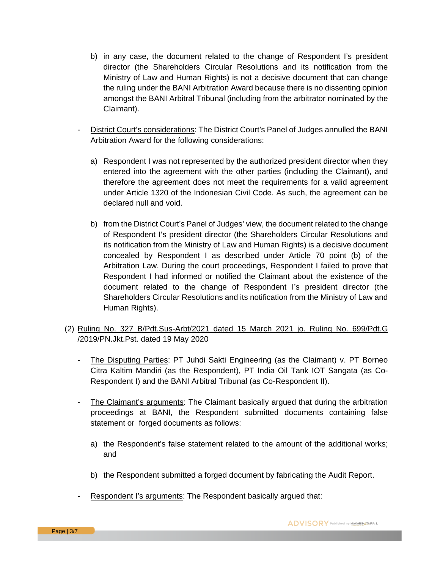- b) in any case, the document related to the change of Respondent I's president director (the Shareholders Circular Resolutions and its notification from the Ministry of Law and Human Rights) is not a decisive document that can change the ruling under the BANI Arbitration Award because there is no dissenting opinion amongst the BANI Arbitral Tribunal (including from the arbitrator nominated by the Claimant).
- District Court's considerations: The District Court's Panel of Judges annulled the BANI Arbitration Award for the following considerations:
	- a) Respondent I was not represented by the authorized president director when they entered into the agreement with the other parties (including the Claimant), and therefore the agreement does not meet the requirements for a valid agreement under Article 1320 of the Indonesian Civil Code. As such, the agreement can be declared null and void.
	- b) from the District Court's Panel of Judges' view, the document related to the change of Respondent I's president director (the Shareholders Circular Resolutions and its notification from the Ministry of Law and Human Rights) is a decisive document concealed by Respondent I as described under Article 70 point (b) of the Arbitration Law. During the court proceedings, Respondent I failed to prove that Respondent I had informed or notified the Claimant about the existence of the document related to the change of Respondent I's president director (the Shareholders Circular Resolutions and its notification from the Ministry of Law and Human Rights).

#### (2) Ruling No. 327 B/Pdt.Sus-Arbt/2021 dated 15 March 2021 jo. Ruling No. 699/Pdt.G /2019/PN.Jkt.Pst. dated 19 May 2020

- The Disputing Parties: PT Juhdi Sakti Engineering (as the Claimant) v. PT Borneo Citra Kaltim Mandiri (as the Respondent), PT India Oil Tank IOT Sangata (as Co-Respondent I) and the BANI Arbitral Tribunal (as Co-Respondent II).
- The Claimant's arguments: The Claimant basically argued that during the arbitration proceedings at BANI, the Respondent submitted documents containing false statement or forged documents as follows:
	- a) the Respondent's false statement related to the amount of the additional works; and
	- b) the Respondent submitted a forged document by fabricating the Audit Report.
- Respondent I's arguments: The Respondent basically argued that: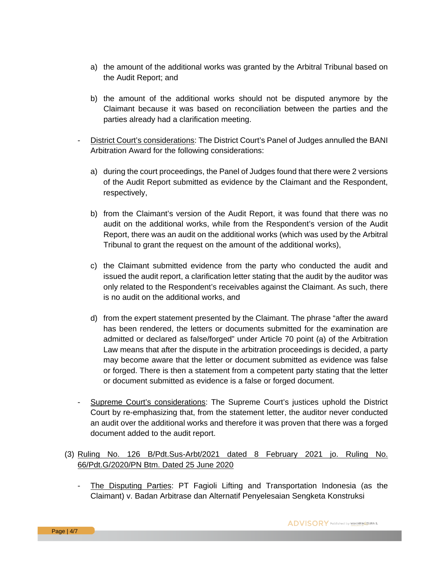- a) the amount of the additional works was granted by the Arbitral Tribunal based on the Audit Report; and
- b) the amount of the additional works should not be disputed anymore by the Claimant because it was based on reconciliation between the parties and the parties already had a clarification meeting.
- District Court's considerations: The District Court's Panel of Judges annulled the BANI Arbitration Award for the following considerations:
	- a) during the court proceedings, the Panel of Judges found that there were 2 versions of the Audit Report submitted as evidence by the Claimant and the Respondent, respectively,
	- b) from the Claimant's version of the Audit Report, it was found that there was no audit on the additional works, while from the Respondent's version of the Audit Report, there was an audit on the additional works (which was used by the Arbitral Tribunal to grant the request on the amount of the additional works),
	- c) the Claimant submitted evidence from the party who conducted the audit and issued the audit report, a clarification letter stating that the audit by the auditor was only related to the Respondent's receivables against the Claimant. As such, there is no audit on the additional works, and
	- d) from the expert statement presented by the Claimant. The phrase "after the award has been rendered, the letters or documents submitted for the examination are admitted or declared as false/forged" under Article 70 point (a) of the Arbitration Law means that after the dispute in the arbitration proceedings is decided, a party may become aware that the letter or document submitted as evidence was false or forged. There is then a statement from a competent party stating that the letter or document submitted as evidence is a false or forged document.
- Supreme Court's considerations: The Supreme Court's justices uphold the District Court by re-emphasizing that, from the statement letter, the auditor never conducted an audit over the additional works and therefore it was proven that there was a forged document added to the audit report.
- (3) Ruling No. 126 B/Pdt.Sus-Arbt/2021 dated 8 February 2021 jo. Ruling No. 66/Pdt.G/2020/PN Btm. Dated 25 June 2020
	- The Disputing Parties: PT Fagioli Lifting and Transportation Indonesia (as the Claimant) v. Badan Arbitrase dan Alternatif Penyelesaian Sengketa Konstruksi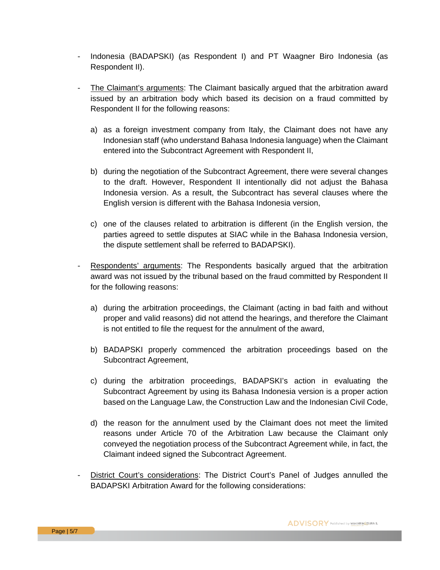- Indonesia (BADAPSKI) (as Respondent I) and PT Waagner Biro Indonesia (as Respondent II).
- The Claimant's arguments: The Claimant basically argued that the arbitration award issued by an arbitration body which based its decision on a fraud committed by Respondent II for the following reasons:
	- a) as a foreign investment company from Italy, the Claimant does not have any Indonesian staff (who understand Bahasa Indonesia language) when the Claimant entered into the Subcontract Agreement with Respondent II,
	- b) during the negotiation of the Subcontract Agreement, there were several changes to the draft. However, Respondent II intentionally did not adjust the Bahasa Indonesia version. As a result, the Subcontract has several clauses where the English version is different with the Bahasa Indonesia version,
	- c) one of the clauses related to arbitration is different (in the English version, the parties agreed to settle disputes at SIAC while in the Bahasa Indonesia version, the dispute settlement shall be referred to BADAPSKI).
- Respondents' arguments: The Respondents basically argued that the arbitration award was not issued by the tribunal based on the fraud committed by Respondent II for the following reasons:
	- a) during the arbitration proceedings, the Claimant (acting in bad faith and without proper and valid reasons) did not attend the hearings, and therefore the Claimant is not entitled to file the request for the annulment of the award,
	- b) BADAPSKI properly commenced the arbitration proceedings based on the Subcontract Agreement,
	- c) during the arbitration proceedings, BADAPSKI's action in evaluating the Subcontract Agreement by using its Bahasa Indonesia version is a proper action based on the Language Law, the Construction Law and the Indonesian Civil Code,
	- d) the reason for the annulment used by the Claimant does not meet the limited reasons under Article 70 of the Arbitration Law because the Claimant only conveyed the negotiation process of the Subcontract Agreement while, in fact, the Claimant indeed signed the Subcontract Agreement.
- District Court's considerations: The District Court's Panel of Judges annulled the BADAPSKI Arbitration Award for the following considerations: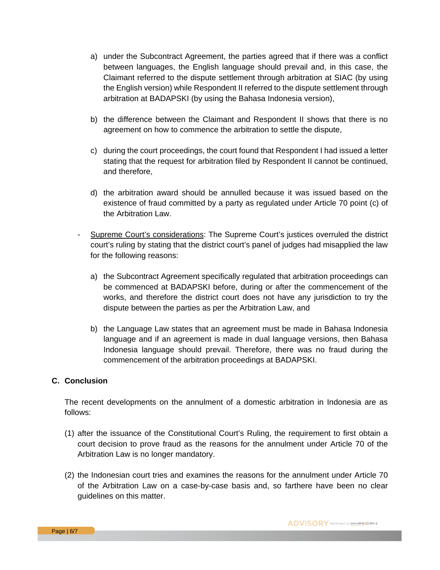- a) under the Subcontract Agreement, the parties agreed that if there was a conflict between languages, the English language should prevail and, in this case, the Claimant referred to the dispute settlement through arbitration at SIAC (by using the English version) while Respondent II referred to the dispute settlement through arbitration at BADAPSKI (by using the Bahasa Indonesia version),
- b) the difference between the Claimant and Respondent II shows that there is no agreement on how to commence the arbitration to settle the dispute,
- c) during the court proceedings, the court found that Respondent I had issued a letter stating that the request for arbitration filed by Respondent II cannot be continued, and therefore,
- d) the arbitration award should be annulled because it was issued based on the existence of fraud committed by a party as regulated under Article 70 point (c) of the Arbitration Law.
- Supreme Court's considerations: The Supreme Court's justices overruled the district court's ruling by stating that the district court's panel of judges had misapplied the law for the following reasons:
	- a) the Subcontract Agreement specifically regulated that arbitration proceedings can be commenced at BADAPSKI before, during or after the commencement of the works, and therefore the district court does not have any jurisdiction to try the dispute between the parties as per the Arbitration Law, and
	- b) the Language Law states that an agreement must be made in Bahasa Indonesia language and if an agreement is made in dual language versions, then Bahasa Indonesia language should prevail. Therefore, there was no fraud during the commencement of the arbitration proceedings at BADAPSKI.

#### **C. Conclusion**

The recent developments on the annulment of a domestic arbitration in Indonesia are as follows:

- (1) after the issuance of the Constitutional Court's Ruling, the requirement to first obtain a court decision to prove fraud as the reasons for the annulment under Article 70 of the Arbitration Law is no longer mandatory.
- (2) the Indonesian court tries and examines the reasons for the annulment under Article 70 of the Arbitration Law on a case-by-case basis and, so farthere have been no clear guidelines on this matter.